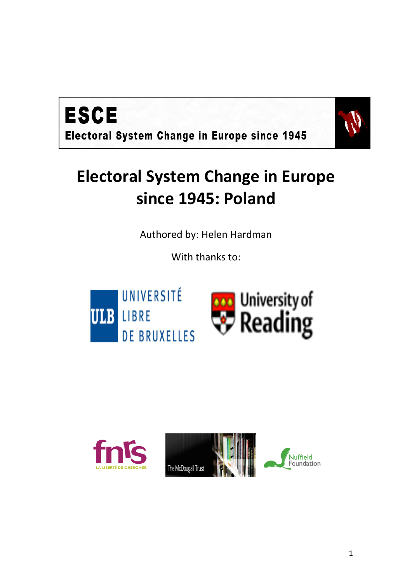



# **Electoral System Change in Europe since 1945: Poland**

Authored by: Helen Hardman

With thanks to:



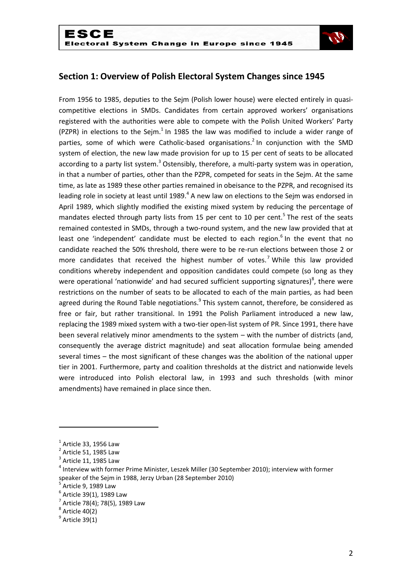

## **Section 1: Overview of Polish Electoral System Changes since 1945**

From 1956 to 1985, deputies to the Sejm (Polish lower house) were elected entirely in quasicompetitive elections in SMDs. Candidates from certain approved workers' organisations registered with the authorities were able to compete with the Polish United Workers' Party (PZPR) in elections to the Sejm. $<sup>1</sup>$  In 1985 the law was modified to include a wider range of</sup> parties, some of which were Catholic-based organisations.<sup>2</sup> In conjunction with the SMD system of election, the new law made provision for up to 15 per cent of seats to be allocated according to a party list system.<sup>3</sup> Ostensibly, therefore, a multi-party system was in operation, in that a number of parties, other than the PZPR, competed for seats in the Sejm. At the same time, as late as 1989 these other parties remained in obeisance to the PZPR, and recognised its leading role in society at least until 1989.<sup>4</sup> A new law on elections to the Sejm was endorsed in April 1989, which slightly modified the existing mixed system by reducing the percentage of mandates elected through party lists from 15 per cent to 10 per cent.<sup>5</sup> The rest of the seats remained contested in SMDs, through a two-round system, and the new law provided that at least one 'independent' candidate must be elected to each region.<sup>6</sup> In the event that no candidate reached the 50% threshold, there were to be re-run elections between those 2 or more candidates that received the highest number of votes.<sup>7</sup> While this law provided conditions whereby independent and opposition candidates could compete (so long as they were operational 'nationwide' and had secured sufficient supporting signatures) $^8$ , there were restrictions on the number of seats to be allocated to each of the main parties, as had been agreed during the Round Table negotiations.<sup>9</sup> This system cannot, therefore, be considered as free or fair, but rather transitional. In 1991 the Polish Parliament introduced a new law, replacing the 1989 mixed system with a two-tier open-list system of PR. Since 1991, there have been several relatively minor amendments to the system – with the number of districts (and, consequently the average district magnitude) and seat allocation formulae being amended several times – the most significant of these changes was the abolition of the national upper tier in 2001. Furthermore, party and coalition thresholds at the district and nationwide levels were introduced into Polish electoral law, in 1993 and such thresholds (with minor amendments) have remained in place since then.

1

 $<sup>1</sup>$  Article 33, 1956 Law</sup>

 $2$  Article 51, 1985 Law

 $3$  Article 11, 1985 Law

 $^4$  Interview with former Prime Minister, Leszek Miller (30 September 2010); interview with former speaker of the Sejm in 1988, Jerzy Urban (28 September 2010)

<sup>5</sup> Article 9, 1989 Law

 $<sup>6</sup>$  Article 39(1), 1989 Law</sup>

 $^{7}$  Article 78(4); 78(5), 1989 Law

 $^8$  Article 40(2)

 $^9$  Article 39(1)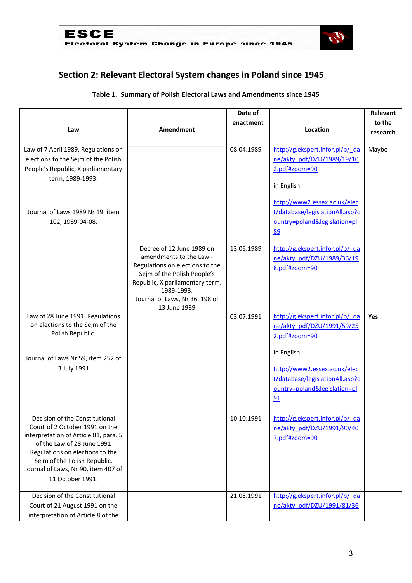

## **Section 2: Relevant Electoral System changes in Poland since 1945**

|                                                                                                                                                                                                                                                                       |                                                                                                                                                                                                                           | Date of    |                                                                                                                                                                                                       | Relevant   |
|-----------------------------------------------------------------------------------------------------------------------------------------------------------------------------------------------------------------------------------------------------------------------|---------------------------------------------------------------------------------------------------------------------------------------------------------------------------------------------------------------------------|------------|-------------------------------------------------------------------------------------------------------------------------------------------------------------------------------------------------------|------------|
|                                                                                                                                                                                                                                                                       |                                                                                                                                                                                                                           | enactment  |                                                                                                                                                                                                       | to the     |
| Law                                                                                                                                                                                                                                                                   | Amendment                                                                                                                                                                                                                 |            | Location                                                                                                                                                                                              | research   |
| Law of 7 April 1989, Regulations on<br>elections to the Sejm of the Polish<br>People's Republic, X parliamentary<br>term, 1989-1993.<br>Journal of Laws 1989 Nr 19, item<br>102, 1989-04-08.                                                                          |                                                                                                                                                                                                                           | 08.04.1989 | http://g.ekspert.infor.pl/p/ da<br>ne/akty pdf/DZU/1989/19/10<br>2.pdf#zoom=90<br>in English<br>http://www2.essex.ac.uk/elec<br>t/database/legislationAll.asp?c<br>ountry=poland&legislation=pl<br>89 | Maybe      |
|                                                                                                                                                                                                                                                                       | Decree of 12 June 1989 on<br>amendments to the Law -<br>Regulations on elections to the<br>Sejm of the Polish People's<br>Republic, X parliamentary term,<br>1989-1993.<br>Journal of Laws, Nr 36, 198 of<br>13 June 1989 | 13.06.1989 | http://g.ekspert.infor.pl/p/ da<br>ne/akty pdf/DZU/1989/36/19<br>8.pdf#zoom=90                                                                                                                        |            |
| Law of 28 June 1991. Regulations<br>on elections to the Sejm of the<br>Polish Republic.<br>Journal of Laws Nr 59, item 252 of<br>3 July 1991                                                                                                                          |                                                                                                                                                                                                                           | 03.07.1991 | http://g.ekspert.infor.pl/p/ da<br>ne/akty pdf/DZU/1991/59/25<br>2.pdf#zoom=90<br>in English<br>http://www2.essex.ac.uk/elec<br>t/database/legislationAll.asp?c<br>ountry=poland&legislation=pl<br>91 | <b>Yes</b> |
| Decision of the Constitutional<br>Court of 2 October 1991 on the<br>interpretation of Article 81, para. 5<br>of the Law of 28 June 1991<br>Regulations on elections to the<br>Sejm of the Polish Republic.<br>Journal of Laws, Nr 90, item 407 of<br>11 October 1991. |                                                                                                                                                                                                                           | 10.10.1991 | http://g.ekspert.infor.pl/p/ da<br>ne/akty_pdf/DZU/1991/90/40<br>7.pdf#zoom=90                                                                                                                        |            |
| Decision of the Constitutional<br>Court of 21 August 1991 on the<br>interpretation of Article 8 of the                                                                                                                                                                |                                                                                                                                                                                                                           | 21.08.1991 | http://g.ekspert.infor.pl/p/ da<br>ne/akty pdf/DZU/1991/81/36                                                                                                                                         |            |

#### **Table 1. Summary of Polish Electoral Laws and Amendments since 1945**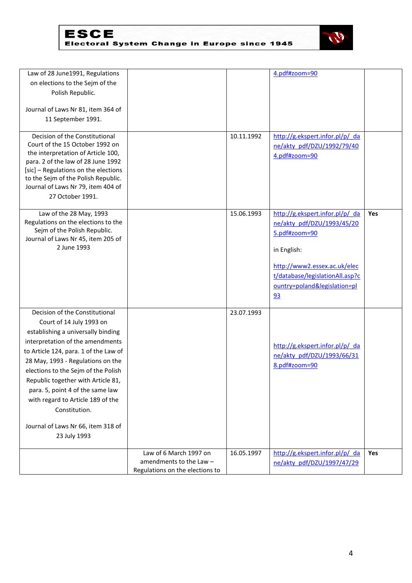

| Law of 28 June1991, Regulations                                           |                                 |            | 4.pdf#zoom=90                   |            |
|---------------------------------------------------------------------------|---------------------------------|------------|---------------------------------|------------|
| on elections to the Sejm of the                                           |                                 |            |                                 |            |
| Polish Republic.                                                          |                                 |            |                                 |            |
|                                                                           |                                 |            |                                 |            |
| Journal of Laws Nr 81, item 364 of                                        |                                 |            |                                 |            |
| 11 September 1991.                                                        |                                 |            |                                 |            |
|                                                                           |                                 |            |                                 |            |
| Decision of the Constitutional                                            |                                 | 10.11.1992 | http://g.ekspert.infor.pl/p/ da |            |
| Court of the 15 October 1992 on                                           |                                 |            | ne/akty_pdf/DZU/1992/79/40      |            |
| the interpretation of Article 100,                                        |                                 |            | 4.pdf#zoom=90                   |            |
| para. 2 of the law of 28 June 1992                                        |                                 |            |                                 |            |
| [sic] - Regulations on the elections                                      |                                 |            |                                 |            |
| to the Sejm of the Polish Republic.<br>Journal of Laws Nr 79, item 404 of |                                 |            |                                 |            |
|                                                                           |                                 |            |                                 |            |
| 27 October 1991.                                                          |                                 |            |                                 |            |
| Law of the 28 May, 1993                                                   |                                 | 15.06.1993 | http://g.ekspert.infor.pl/p/ da | Yes        |
| Regulations on the elections to the                                       |                                 |            | ne/akty_pdf/DZU/1993/45/20      |            |
| Sejm of the Polish Republic.                                              |                                 |            | 5.pdf#zoom=90                   |            |
| Journal of Laws Nr 45, item 205 of                                        |                                 |            |                                 |            |
| 2 June 1993                                                               |                                 |            | in English:                     |            |
|                                                                           |                                 |            |                                 |            |
|                                                                           |                                 |            | http://www2.essex.ac.uk/elec    |            |
|                                                                           |                                 |            | t/database/legislationAll.asp?c |            |
|                                                                           |                                 |            | ountry=poland&legislation=pl    |            |
|                                                                           |                                 |            | 93                              |            |
|                                                                           |                                 |            |                                 |            |
| Decision of the Constitutional                                            |                                 | 23.07.1993 |                                 |            |
| Court of 14 July 1993 on                                                  |                                 |            |                                 |            |
| establishing a universally binding                                        |                                 |            |                                 |            |
| interpretation of the amendments                                          |                                 |            | http://g.ekspert.infor.pl/p/ da |            |
| to Article 124, para. 1 of the Law of                                     |                                 |            |                                 |            |
| 28 May, 1993 - Regulations on the                                         |                                 |            | ne/akty_pdf/DZU/1993/66/31      |            |
| elections to the Sejm of the Polish                                       |                                 |            | 8.pdf#zoom=90                   |            |
| Republic together with Article 81,                                        |                                 |            |                                 |            |
| para. 5, point 4 of the same law                                          |                                 |            |                                 |            |
| with regard to Article 189 of the                                         |                                 |            |                                 |            |
| Constitution.                                                             |                                 |            |                                 |            |
|                                                                           |                                 |            |                                 |            |
| Journal of Laws Nr 66, item 318 of                                        |                                 |            |                                 |            |
| 23 July 1993                                                              |                                 |            |                                 |            |
|                                                                           |                                 |            |                                 |            |
|                                                                           | Law of 6 March 1997 on          | 16.05.1997 | http://g.ekspert.infor.pl/p/ da | <b>Yes</b> |
|                                                                           | amendments to the Law -         |            | ne/akty_pdf/DZU/1997/47/29      |            |
|                                                                           | Regulations on the elections to |            |                                 |            |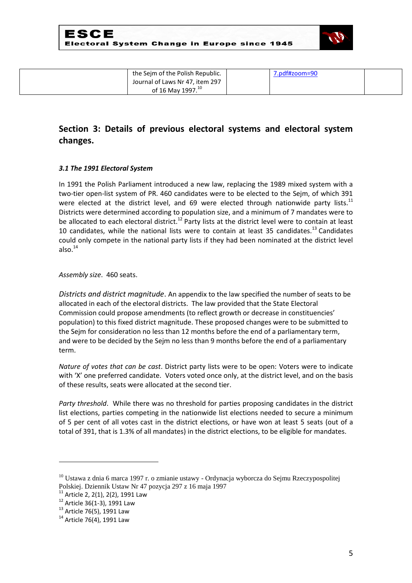

| the Sejm of the Polish Republic. | 7.pdf#zoom=90 |  |
|----------------------------------|---------------|--|
| Journal of Laws Nr 47, item 297  |               |  |
| of 16 May 1997. <sup>10</sup>    |               |  |

## **Section 3: Details of previous electoral systems and electoral system changes.**

#### *3.1 The 1991 Electoral System*

In 1991 the Polish Parliament introduced a new law, replacing the 1989 mixed system with a two-tier open-list system of PR. 460 candidates were to be elected to the Sejm, of which 391 were elected at the district level, and 69 were elected through nationwide party lists.<sup>11</sup> Districts were determined according to population size, and a minimum of 7 mandates were to be allocated to each electoral district.<sup>12</sup> Party lists at the district level were to contain at least 10 candidates, while the national lists were to contain at least 35 candidates.<sup>13</sup> Candidates could only compete in the national party lists if they had been nominated at the district level also. $14$ 

*Assembly size*. 460 seats.

*Districts and district magnitude*. An appendix to the law specified the number of seats to be allocated in each of the electoral districts. The law provided that the State Electoral Commission could propose amendments (to reflect growth or decrease in constituencies' population) to this fixed district magnitude. These proposed changes were to be submitted to the Sejm for consideration no less than 12 months before the end of a parliamentary term, and were to be decided by the Sejm no less than 9 months before the end of a parliamentary term.

*Nature of votes that can be cast*. District party lists were to be open: Voters were to indicate with 'X' one preferred candidate. Voters voted once only, at the district level, and on the basis of these results, seats were allocated at the second tier.

*Party threshold*. While there was no threshold for parties proposing candidates in the district list elections, parties competing in the nationwide list elections needed to secure a minimum of 5 per cent of all votes cast in the district elections, or have won at least 5 seats (out of a total of 391, that is 1.3% of all mandates) in the district elections, to be eligible for mandates.

1

<sup>&</sup>lt;sup>10</sup> Ustawa z dnia 6 marca 1997 r. o zmianie ustawy - Ordynacja wyborcza do Sejmu Rzeczypospolitej Polskiej. Dziennik Ustaw Nr 47 pozycja 297 z 16 maja 1997

 $11$  Article 2, 2(1), 2(2), 1991 Law

 $12$  Article 36(1-3), 1991 Law

<sup>&</sup>lt;sup>13</sup> Article 76(5), 1991 Law

<sup>&</sup>lt;sup>14</sup> Article 76(4), 1991 Law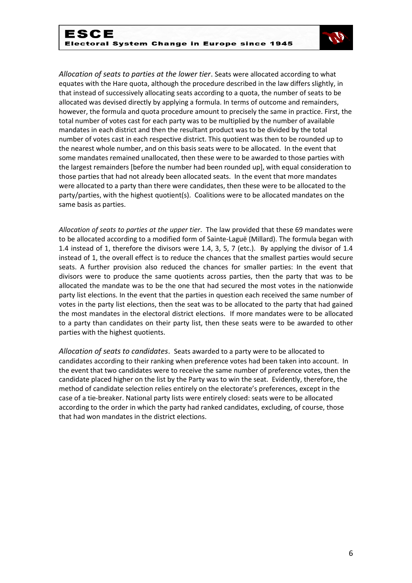

*Allocation of seats to parties at the lower tier*. Seats were allocated according to what equates with the Hare quota, although the procedure described in the law differs slightly, in that instead of successively allocating seats according to a quota, the number of seats to be allocated was devised directly by applying a formula. In terms of outcome and remainders, however, the formula and quota procedure amount to precisely the same in practice. First, the total number of votes cast for each party was to be multiplied by the number of available mandates in each district and then the resultant product was to be divided by the total number of votes cast in each respective district. This quotient was then to be rounded up to the nearest whole number, and on this basis seats were to be allocated. In the event that some mandates remained unallocated, then these were to be awarded to those parties with the largest remainders [before the number had been rounded up], with equal consideration to those parties that had not already been allocated seats. In the event that more mandates were allocated to a party than there were candidates, then these were to be allocated to the party/parties, with the highest quotient(s). Coalitions were to be allocated mandates on the same basis as parties.

*Allocation of seats to parties at the upper tier*. The law provided that these 69 mandates were to be allocated according to a modified form of Sainte-Laguë (Millard). The formula began with 1.4 instead of 1, therefore the divisors were 1.4, 3, 5, 7 (etc.). By applying the divisor of 1.4 instead of 1, the overall effect is to reduce the chances that the smallest parties would secure seats. A further provision also reduced the chances for smaller parties: In the event that divisors were to produce the same quotients across parties, then the party that was to be allocated the mandate was to be the one that had secured the most votes in the nationwide party list elections. In the event that the parties in question each received the same number of votes in the party list elections, then the seat was to be allocated to the party that had gained the most mandates in the electoral district elections. If more mandates were to be allocated to a party than candidates on their party list, then these seats were to be awarded to other parties with the highest quotients.

*Allocation of seats to candidates*. Seats awarded to a party were to be allocated to candidates according to their ranking when preference votes had been taken into account. In the event that two candidates were to receive the same number of preference votes, then the candidate placed higher on the list by the Party was to win the seat. Evidently, therefore, the method of candidate selection relies entirely on the electorate's preferences, except in the case of a tie-breaker. National party lists were entirely closed: seats were to be allocated according to the order in which the party had ranked candidates, excluding, of course, those that had won mandates in the district elections.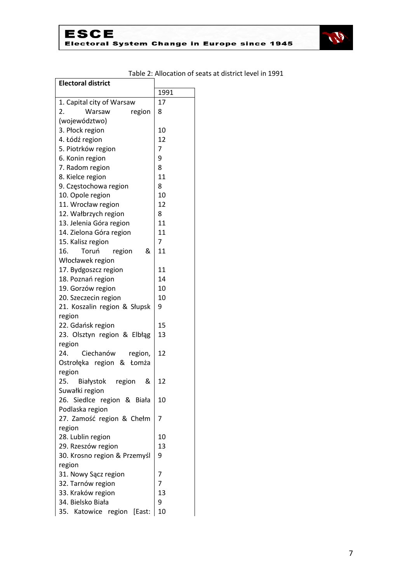

| Electoral district                     |        |
|----------------------------------------|--------|
|                                        | 1991   |
| 1. Capital city of Warsaw              | 17     |
| region<br>2.<br>Warsaw                 | 8      |
| (województwo)                          |        |
| 3. Płock region                        | 10     |
| 4. Łódź region                         | 12     |
| 5. Piotrków region                     | 7      |
| 6. Konin region                        | 9      |
| 7. Radom region                        | 8      |
| 8. Kielce region                       | 11     |
| 9. Częstochowa region                  | 8      |
| 10. Opole region                       | 10     |
| 11. Wrocław region                     | 12     |
| 12. Wałbrzych region                   | 8      |
| 13. Jelenia Góra region                | 11     |
| 14. Zielona Góra region                | 11     |
| 15. Kalisz region                      | 7      |
| &<br>16.<br>Toruń<br>region            | 11     |
| Włocławek region                       |        |
| 17. Bydgoszcz region                   | 11     |
| 18. Poznań region                      | 14     |
| 19. Gorzów region                      | 10     |
| 20. Szeczecin region                   | 10     |
| 21. Koszalin region & Słupsk           | 9      |
| region                                 |        |
| 22. Gdańsk region                      | 15     |
| 23. Olsztyn region & Elbłąg            | 13     |
| region                                 |        |
| 24.<br>Ciechanów<br>region,            | 12     |
| Ostrołęka region & Łomża               |        |
| region                                 |        |
| 25.<br>&<br>Białystok<br>region        | 12     |
| Suwałki region                         |        |
| 26. Siedlce region & Biała             | 10     |
| Podlaska region                        |        |
| 27. Zamość region & Chełm              | 7      |
| region                                 |        |
| 28. Lublin region                      | 10     |
| 29. Rzeszów region                     | 13     |
| 30. Krosno region & Przemyśl           | 9      |
| region                                 |        |
| 31. Nowy Sącz region                   | 7<br>7 |
| 32. Tarnów region                      | 13     |
| 33. Kraków region<br>34. Bielsko Biała | 9      |
|                                        | 10     |
| Katowice region<br>35.<br>[East:       |        |

## Table 2: Allocation of seats at district level in 1991

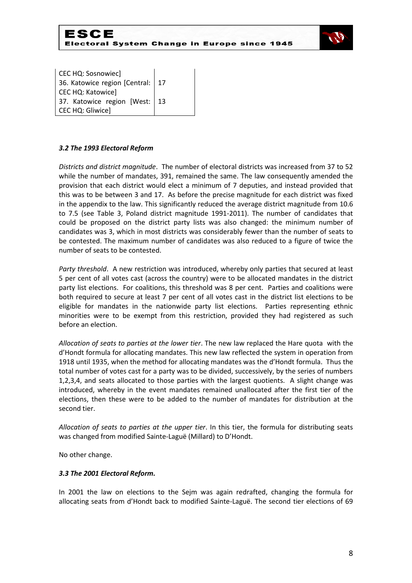



CEC HQ: Sosnowiec] 36. Katowice region [Central: CEC HQ: Katowice] 17 37. Katowice region [West: CEC HQ: Gliwice] 13

#### *3.2 The 1993 Electoral Reform*

*Districts and district magnitude*. The number of electoral districts was increased from 37 to 52 while the number of mandates, 391, remained the same. The law consequently amended the provision that each district would elect a minimum of 7 deputies, and instead provided that this was to be between 3 and 17. As before the precise magnitude for each district was fixed in the appendix to the law. This significantly reduced the average district magnitude from 10.6 to 7.5 (see Table 3, Poland district magnitude 1991-2011). The number of candidates that could be proposed on the district party lists was also changed: the minimum number of candidates was 3, which in most districts was considerably fewer than the number of seats to be contested. The maximum number of candidates was also reduced to a figure of twice the number of seats to be contested.

*Party threshold*. A new restriction was introduced, whereby only parties that secured at least 5 per cent of all votes cast (across the country) were to be allocated mandates in the district party list elections. For coalitions, this threshold was 8 per cent. Parties and coalitions were both required to secure at least 7 per cent of all votes cast in the district list elections to be eligible for mandates in the nationwide party list elections. Parties representing ethnic minorities were to be exempt from this restriction, provided they had registered as such before an election.

*Allocation of seats to parties at the lower tier*. The new law replaced the Hare quota with the d'Hondt formula for allocating mandates. This new law reflected the system in operation from 1918 until 1935, when the method for allocating mandates was the d'Hondt formula. Thus the total number of votes cast for a party was to be divided, successively, by the series of numbers 1,2,3,4, and seats allocated to those parties with the largest quotients. A slight change was introduced, whereby in the event mandates remained unallocated after the first tier of the elections, then these were to be added to the number of mandates for distribution at the second tier.

*Allocation of seats to parties at the upper tier*. In this tier, the formula for distributing seats was changed from modified Sainte-Laguë (Millard) to D'Hondt.

No other change.

#### *3.3 The 2001 Electoral Reform.*

In 2001 the law on elections to the Sejm was again redrafted, changing the formula for allocating seats from d'Hondt back to modified Sainte-Laguë. The second tier elections of 69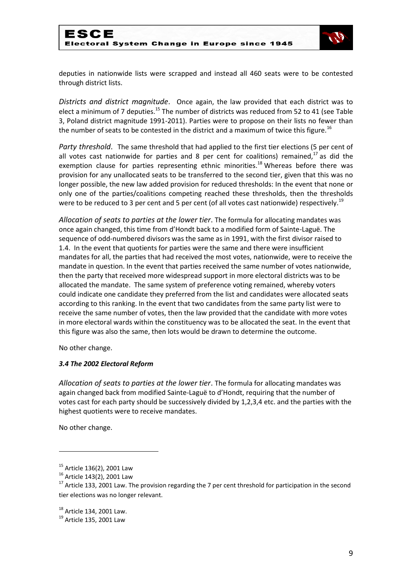

deputies in nationwide lists were scrapped and instead all 460 seats were to be contested through district lists.

*Districts and district magnitude*. Once again, the law provided that each district was to elect a minimum of 7 deputies.<sup>15</sup> The number of districts was reduced from 52 to 41 (see Table 3, Poland district magnitude 1991-2011). Parties were to propose on their lists no fewer than the number of seats to be contested in the district and a maximum of twice this figure.<sup>16</sup>

*Party threshold*. The same threshold that had applied to the first tier elections (5 per cent of all votes cast nationwide for parties and 8 per cent for coalitions) remained,<sup>17</sup> as did the exemption clause for parties representing ethnic minorities.<sup>18</sup> Whereas before there was provision for any unallocated seats to be transferred to the second tier, given that this was no longer possible, the new law added provision for reduced thresholds: In the event that none or only one of the parties/coalitions competing reached these thresholds, then the thresholds were to be reduced to 3 per cent and 5 per cent (of all votes cast nationwide) respectively.<sup>19</sup>

*Allocation of seats to parties at the lower tier*. The formula for allocating mandates was once again changed, this time from d'Hondt back to a modified form of Sainte-Laguë. The sequence of odd-numbered divisors was the same as in 1991, with the first divisor raised to 1.4. In the event that quotients for parties were the same and there were insufficient mandates for all, the parties that had received the most votes, nationwide, were to receive the mandate in question. In the event that parties received the same number of votes nationwide, then the party that received more widespread support in more electoral districts was to be allocated the mandate. The same system of preference voting remained, whereby voters could indicate one candidate they preferred from the list and candidates were allocated seats according to this ranking. In the event that two candidates from the same party list were to receive the same number of votes, then the law provided that the candidate with more votes in more electoral wards within the constituency was to be allocated the seat. In the event that this figure was also the same, then lots would be drawn to determine the outcome.

No other change.

#### *3.4 The 2002 Electoral Reform*

*Allocation of seats to parties at the lower tier*. The formula for allocating mandates was again changed back from modified Sainte-Laguë to d'Hondt, requiring that the number of votes cast for each party should be successively divided by 1,2,3,4 etc. and the parties with the highest quotients were to receive mandates.

No other change.

**.** 

 $15$  Article 136(2), 2001 Law

<sup>16</sup> Article 143(2), 2001 Law

<sup>&</sup>lt;sup>17</sup> Article 133, 2001 Law. The provision regarding the 7 per cent threshold for participation in the second tier elections was no longer relevant.

<sup>18</sup> Article 134, 2001 Law.

 $^{19}$  Article 135, 2001 Law